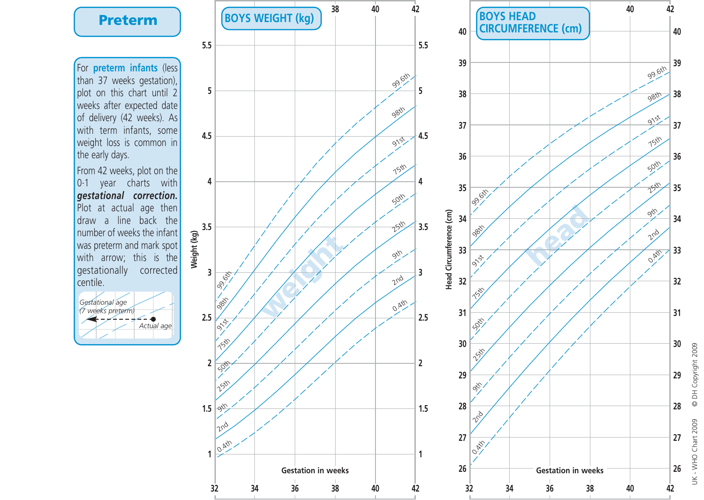For **preterm infants** (less than 37 weeks gestation), plot on this chart until 2 weeks after expected date of delivery (42 weeks). As with term infants, some weight loss is common in the early days.

From 42 weeks, plot on the 0-1 year charts with *gestational correction.* Plot at actual age then draw a line back the number of weeks the infant was preterm and mark spot with arrow; this is the gestationally corrected centile.







UK - WHO Chart 2009 © DH Copyright 2009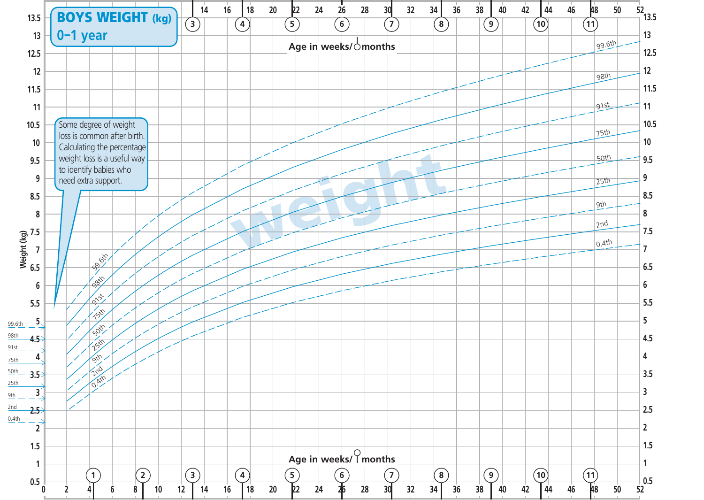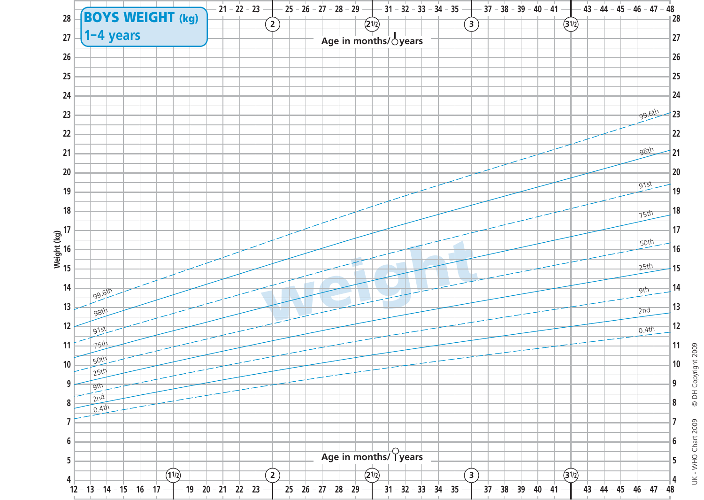

© DH Copyright 2009 UK - WHO Chart 2009 © DH Copyright 2009 UK - WHO Chart 2009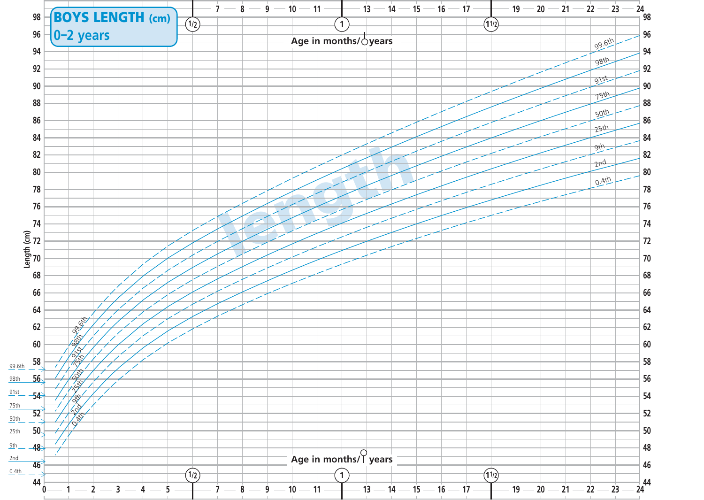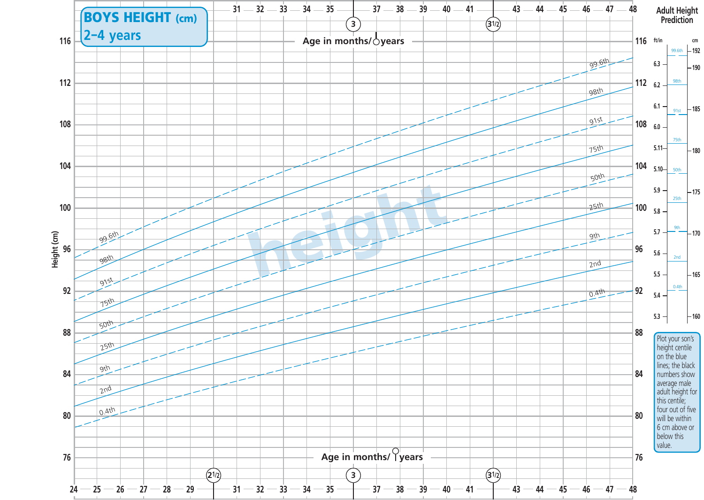